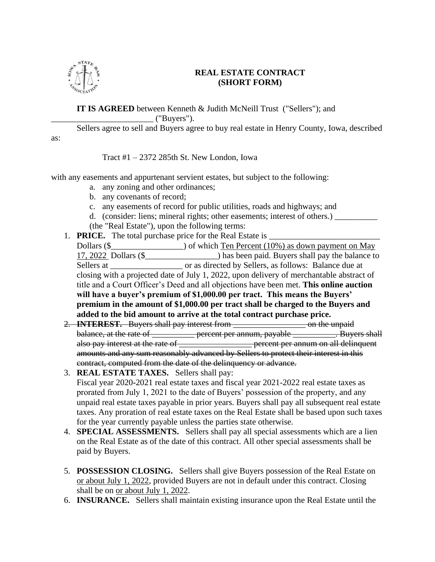

### **REAL ESTATE CONTRACT (SHORT FORM)**

**IT IS AGREED** between Kenneth & Judith McNeill Trust ("Sellers"); and  $_{-}$  ("Buyers").

Sellers agree to sell and Buyers agree to buy real estate in Henry County, Iowa, described as:

Tract #1 – 2372 285th St. New London, Iowa

with any easements and appurtenant servient estates, but subject to the following:

- a. any zoning and other ordinances;
- b. any covenants of record;
- c. any easements of record for public utilities, roads and highways; and
- d. (consider: liens; mineral rights; other easements; interest of others.) (the "Real Estate"), upon the following terms:
- 1. **PRICE.** The total purchase price for the Real Estate is

Dollars (\$\_\_\_\_\_\_\_\_\_\_\_\_\_\_\_\_\_\_\_\_\_\_) of which <u>Ten Percent (10%) as down payme</u>nt on May 17, 2022 Dollars (\$\_\_\_\_\_\_\_\_\_\_\_\_\_\_\_\_\_) has been paid. Buyers shall pay the balance to Sellers at \_\_\_\_\_\_\_\_\_\_\_\_\_\_\_\_\_\_\_\_\_\_\_ or as directed by Sellers, as follows: Balance due at closing with a projected date of July 1, 2022, upon delivery of merchantable abstract of title and a Court Officer's Deed and all objections have been met. **This online auction will have a buyer's premium of \$1,000.00 per tract. This means the Buyers' premium in the amount of \$1,000.00 per tract shall be charged to the Buyers and added to the bid amount to arrive at the total contract purchase price.**

- 2. **INTEREST.** Buyers shall pay interest from **example 2.** On the unpaid balance, at the rate of \_\_\_\_\_\_\_\_\_\_\_\_ percent per annum, payable \_\_\_\_\_\_\_\_\_\_. Buyers shall also pay interest at the rate of \_\_\_\_\_\_\_\_\_\_\_\_\_\_\_\_\_\_\_\_ percent per annum on all delinquent amounts and any sum reasonably advanced by Sellers to protect their interest in this contract, computed from the date of the delinquency or advance.
- 3. **REAL ESTATE TAXES.** Sellers shall pay: Fiscal year 2020**-**2021 real estate taxes and fiscal year 2021-2022 real estate taxes as prorated from July 1, 2021 to the date of Buyers' possession of the property, and any unpaid real estate taxes payable in prior years. Buyers shall pay all subsequent real estate taxes. Any proration of real estate taxes on the Real Estate shall be based upon such taxes for the year currently payable unless the parties state otherwise.
- 4. **SPECIAL ASSESSMENTS.** Sellers shall pay all special assessments which are a lien on the Real Estate as of the date of this contract. All other special assessments shall be paid by Buyers.
- 5. **POSSESSION CLOSING.** Sellers shall give Buyers possession of the Real Estate on or about July 1, 2022, provided Buyers are not in default under this contract. Closing shall be on or about July 1, 2022.
- 6. **INSURANCE.** Sellers shall maintain existing insurance upon the Real Estate until the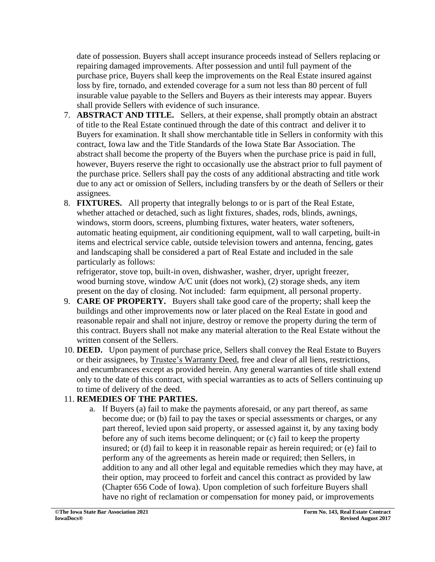date of possession. Buyers shall accept insurance proceeds instead of Sellers replacing or repairing damaged improvements. After possession and until full payment of the purchase price, Buyers shall keep the improvements on the Real Estate insured against loss by fire, tornado, and extended coverage for a sum not less than 80 percent of full insurable value payable to the Sellers and Buyers as their interests may appear. Buyers shall provide Sellers with evidence of such insurance.

- 7. **ABSTRACT AND TITLE.** Sellers, at their expense, shall promptly obtain an abstract of title to the Real Estate continued through the date of this contract and deliver it to Buyers for examination. It shall show merchantable title in Sellers in conformity with this contract, Iowa law and the Title Standards of the Iowa State Bar Association. The abstract shall become the property of the Buyers when the purchase price is paid in full, however, Buyers reserve the right to occasionally use the abstract prior to full payment of the purchase price. Sellers shall pay the costs of any additional abstracting and title work due to any act or omission of Sellers, including transfers by or the death of Sellers or their assignees.
- 8. **FIXTURES.** All property that integrally belongs to or is part of the Real Estate, whether attached or detached, such as light fixtures, shades, rods, blinds, awnings, windows, storm doors, screens, plumbing fixtures, water heaters, water softeners, automatic heating equipment, air conditioning equipment, wall to wall carpeting, built-in items and electrical service cable, outside television towers and antenna, fencing, gates and landscaping shall be considered a part of Real Estate and included in the sale particularly as follows:

refrigerator, stove top, built-in oven, dishwasher, washer, dryer, upright freezer, wood burning stove, window A/C unit (does not work), (2) storage sheds, any item present on the day of closing. Not included: farm equipment, all personal property.

- 9. **CARE OF PROPERTY.** Buyers shall take good care of the property; shall keep the buildings and other improvements now or later placed on the Real Estate in good and reasonable repair and shall not injure, destroy or remove the property during the term of this contract. Buyers shall not make any material alteration to the Real Estate without the written consent of the Sellers.
- 10. **DEED.** Upon payment of purchase price, Sellers shall convey the Real Estate to Buyers or their assignees, by Trustee's Warranty Deed, free and clear of all liens, restrictions, and encumbrances except as provided herein. Any general warranties of title shall extend only to the date of this contract, with special warranties as to acts of Sellers continuing up to time of delivery of the deed.

# 11. **REMEDIES OF THE PARTIES.**

a. If Buyers (a) fail to make the payments aforesaid, or any part thereof, as same become due; or (b) fail to pay the taxes or special assessments or charges, or any part thereof, levied upon said property, or assessed against it, by any taxing body before any of such items become delinquent; or (c) fail to keep the property insured; or (d) fail to keep it in reasonable repair as herein required; or (e) fail to perform any of the agreements as herein made or required; then Sellers, in addition to any and all other legal and equitable remedies which they may have, at their option, may proceed to forfeit and cancel this contract as provided by law (Chapter 656 Code of Iowa). Upon completion of such forfeiture Buyers shall have no right of reclamation or compensation for money paid, or improvements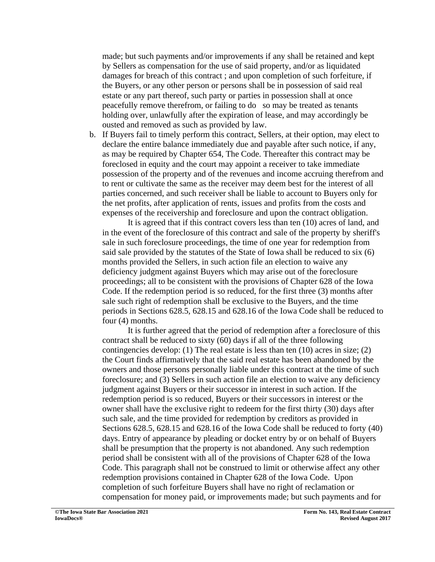made; but such payments and/or improvements if any shall be retained and kept by Sellers as compensation for the use of said property, and/or as liquidated damages for breach of this contract ; and upon completion of such forfeiture, if the Buyers, or any other person or persons shall be in possession of said real estate or any part thereof, such party or parties in possession shall at once peacefully remove therefrom, or failing to do so may be treated as tenants holding over, unlawfully after the expiration of lease, and may accordingly be ousted and removed as such as provided by law.

b. If Buyers fail to timely perform this contract, Sellers, at their option, may elect to declare the entire balance immediately due and payable after such notice, if any, as may be required by Chapter 654, The Code. Thereafter this contract may be foreclosed in equity and the court may appoint a receiver to take immediate possession of the property and of the revenues and income accruing therefrom and to rent or cultivate the same as the receiver may deem best for the interest of all parties concerned, and such receiver shall be liable to account to Buyers only for the net profits, after application of rents, issues and profits from the costs and expenses of the receivership and foreclosure and upon the contract obligation.

It is agreed that if this contract covers less than ten (10) acres of land, and in the event of the foreclosure of this contract and sale of the property by sheriff's sale in such foreclosure proceedings, the time of one year for redemption from said sale provided by the statutes of the State of Iowa shall be reduced to six (6) months provided the Sellers, in such action file an election to waive any deficiency judgment against Buyers which may arise out of the foreclosure proceedings; all to be consistent with the provisions of Chapter 628 of the Iowa Code. If the redemption period is so reduced, for the first three (3) months after sale such right of redemption shall be exclusive to the Buyers, and the time periods in Sections 628.5, 628.15 and 628.16 of the Iowa Code shall be reduced to four (4) months.

It is further agreed that the period of redemption after a foreclosure of this contract shall be reduced to sixty (60) days if all of the three following contingencies develop: (1) The real estate is less than ten (10) acres in size; (2) the Court finds affirmatively that the said real estate has been abandoned by the owners and those persons personally liable under this contract at the time of such foreclosure; and (3) Sellers in such action file an election to waive any deficiency judgment against Buyers or their successor in interest in such action. If the redemption period is so reduced, Buyers or their successors in interest or the owner shall have the exclusive right to redeem for the first thirty (30) days after such sale, and the time provided for redemption by creditors as provided in Sections 628.5, 628.15 and 628.16 of the Iowa Code shall be reduced to forty (40) days. Entry of appearance by pleading or docket entry by or on behalf of Buyers shall be presumption that the property is not abandoned. Any such redemption period shall be consistent with all of the provisions of Chapter 628 of the Iowa Code. This paragraph shall not be construed to limit or otherwise affect any other redemption provisions contained in Chapter 628 of the Iowa Code. Upon completion of such forfeiture Buyers shall have no right of reclamation or compensation for money paid, or improvements made; but such payments and for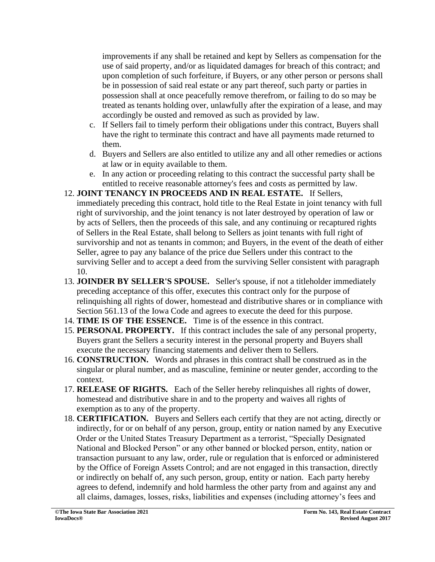improvements if any shall be retained and kept by Sellers as compensation for the use of said property, and/or as liquidated damages for breach of this contract; and upon completion of such forfeiture, if Buyers, or any other person or persons shall be in possession of said real estate or any part thereof, such party or parties in possession shall at once peacefully remove therefrom, or failing to do so may be treated as tenants holding over, unlawfully after the expiration of a lease, and may accordingly be ousted and removed as such as provided by law.

- c. If Sellers fail to timely perform their obligations under this contract, Buyers shall have the right to terminate this contract and have all payments made returned to them.
- d. Buyers and Sellers are also entitled to utilize any and all other remedies or actions at law or in equity available to them.
- e. In any action or proceeding relating to this contract the successful party shall be entitled to receive reasonable attorney's fees and costs as permitted by law.
- 12. **JOINT TENANCY IN PROCEEDS AND IN REAL ESTATE.** If Sellers, immediately preceding this contract, hold title to the Real Estate in joint tenancy with full right of survivorship, and the joint tenancy is not later destroyed by operation of law or by acts of Sellers, then the proceeds of this sale, and any continuing or recaptured rights of Sellers in the Real Estate, shall belong to Sellers as joint tenants with full right of survivorship and not as tenants in common; and Buyers, in the event of the death of either Seller, agree to pay any balance of the price due Sellers under this contract to the surviving Seller and to accept a deed from the surviving Seller consistent with paragraph 10.
- 13. **JOINDER BY SELLER'S SPOUSE.** Seller's spouse, if not a titleholder immediately preceding acceptance of this offer, executes this contract only for the purpose of relinquishing all rights of dower, homestead and distributive shares or in compliance with Section 561.13 of the Iowa Code and agrees to execute the deed for this purpose.
- 14. **TIME IS OF THE ESSENCE.** Time is of the essence in this contract.
- 15. **PERSONAL PROPERTY.** If this contract includes the sale of any personal property, Buyers grant the Sellers a security interest in the personal property and Buyers shall execute the necessary financing statements and deliver them to Sellers.
- 16. **CONSTRUCTION.** Words and phrases in this contract shall be construed as in the singular or plural number, and as masculine, feminine or neuter gender, according to the context.
- 17. **RELEASE OF RIGHTS.** Each of the Seller hereby relinquishes all rights of dower, homestead and distributive share in and to the property and waives all rights of exemption as to any of the property.
- 18. **CERTIFICATION.** Buyers and Sellers each certify that they are not acting, directly or indirectly, for or on behalf of any person, group, entity or nation named by any Executive Order or the United States Treasury Department as a terrorist, "Specially Designated National and Blocked Person" or any other banned or blocked person, entity, nation or transaction pursuant to any law, order, rule or regulation that is enforced or administered by the Office of Foreign Assets Control; and are not engaged in this transaction, directly or indirectly on behalf of, any such person, group, entity or nation. Each party hereby agrees to defend, indemnify and hold harmless the other party from and against any and all claims, damages, losses, risks, liabilities and expenses (including attorney's fees and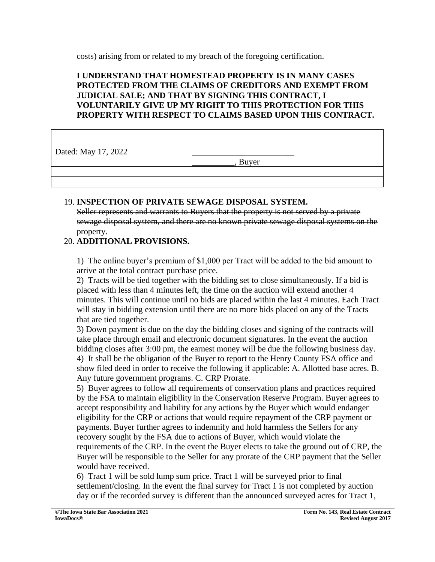costs) arising from or related to my breach of the foregoing certification.

## **I UNDERSTAND THAT HOMESTEAD PROPERTY IS IN MANY CASES PROTECTED FROM THE CLAIMS OF CREDITORS AND EXEMPT FROM JUDICIAL SALE; AND THAT BY SIGNING THIS CONTRACT, I VOLUNTARILY GIVE UP MY RIGHT TO THIS PROTECTION FOR THIS PROPERTY WITH RESPECT TO CLAIMS BASED UPON THIS CONTRACT.**

| Dated: May 17, 2022 | Buyer |
|---------------------|-------|
|                     |       |
|                     |       |

#### 19. **INSPECTION OF PRIVATE SEWAGE DISPOSAL SYSTEM.**  Seller represents and warrants to Buyers that the property is not served by a private sewage disposal system, and there are no known private sewage disposal systems on the property.

## 20. **ADDITIONAL PROVISIONS.**

1)The online buyer's premium of \$1,000 per Tract will be added to the bid amount to arrive at the total contract purchase price.

2) Tracts will be tied together with the bidding set to close simultaneously. If a bid is placed with less than 4 minutes left, the time on the auction will extend another 4 minutes. This will continue until no bids are placed within the last 4 minutes. Each Tract will stay in bidding extension until there are no more bids placed on any of the Tracts that are tied together.

3) Down payment is due on the day the bidding closes and signing of the contracts will take place through email and electronic document signatures. In the event the auction bidding closes after 3:00 pm, the earnest money will be due the following business day. 4) It shall be the obligation of the Buyer to report to the Henry County FSA office and show filed deed in order to receive the following if applicable: A. Allotted base acres. B. Any future government programs. C. CRP Prorate.

5) Buyer agrees to follow all requirements of conservation plans and practices required by the FSA to maintain eligibility in the Conservation Reserve Program. Buyer agrees to accept responsibility and liability for any actions by the Buyer which would endanger eligibility for the CRP or actions that would require repayment of the CRP payment or payments. Buyer further agrees to indemnify and hold harmless the Sellers for any recovery sought by the FSA due to actions of Buyer, which would violate the requirements of the CRP. In the event the Buyer elects to take the ground out of CRP, the Buyer will be responsible to the Seller for any prorate of the CRP payment that the Seller would have received.

6) Tract 1 will be sold lump sum price. Tract 1 will be surveyed prior to final settlement/closing. In the event the final survey for Tract 1 is not completed by auction day or if the recorded survey is different than the announced surveyed acres for Tract 1,